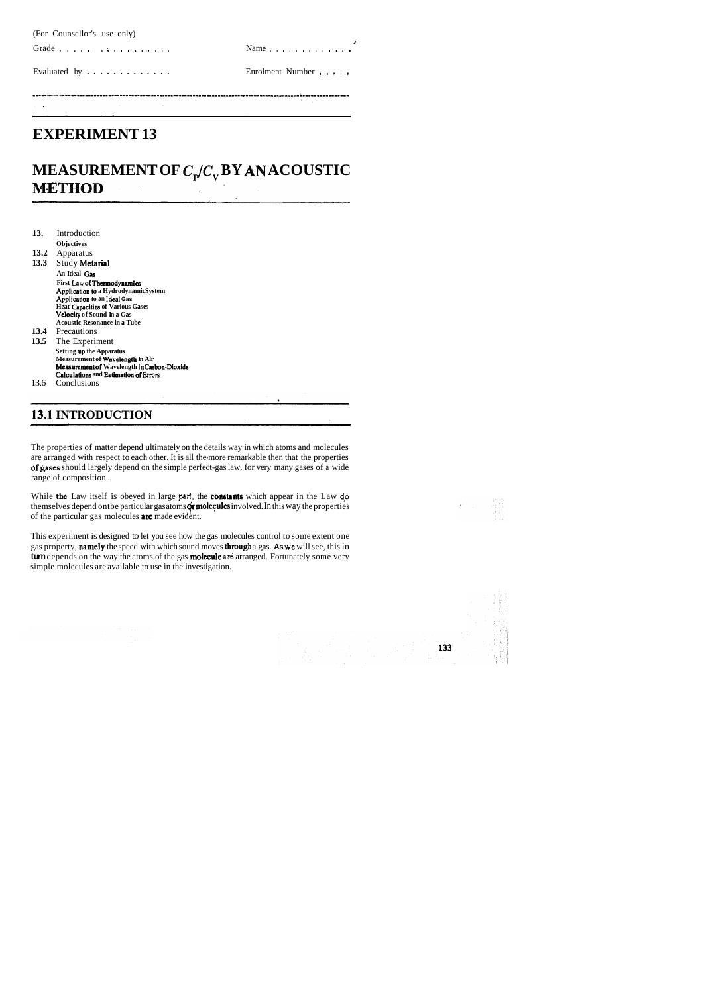(For Counsellor's use only)

**i** 

Grade ....... ; .......... Name .............

Evaluated by ............. Enrolment Number .....

# **EXPERIMENT 13**

# **MEASUREMENT OF**  $C_p/C_v$  **BY AN ACOUSTIC<br><b>METHOD**

| 13.  | Introduction                                 |
|------|----------------------------------------------|
|      | <b>Objectives</b>                            |
| 13.2 | Apparatus                                    |
| 13.3 | Study Metarial                               |
|      | An Ideal Gas                                 |
|      | First Law of Thermodynamics                  |
|      | <b>Application to a HydrodynamicSystem</b>   |
|      | Application to an Ideal Gas                  |
|      | <b>Heat Capacities of Various Gases</b>      |
|      | <b>Velocity of Sound In a Gas</b>            |
|      | <b>Acoustic Resonance in a Tube</b>          |
| 13.4 | Precautions                                  |
| 13.5 | The Experiment                               |
|      | <b>Setting up the Apparatus</b>              |
|      | Measurement of Wavelength In Alr             |
|      | Measurement of Wavelength in Carbon-Dioxide  |
|      | <b>Calculations and Estimation of Errors</b> |
| 13.6 | Conclusions                                  |

While the Law itself is obeyed in large **part,** the constants which appear in the Law **da**  themselves depend ontbe particular gas atoms **or molecules** involved. In this way the properties of the particular gas molecules **are** made evident.

# **13.1 INTRODUCTION**

The properties of matter depend ultimately on the details way in which atoms and molecules are arranged with respect to each other. It is all the-more remarkable then that the properties of gases should largely depend on the simple perfect-gas law, for very many gases of a wide range of composition.

This experiment is designed to let you see how the gas molecules control to some extent one gas property, namely the speed with which sound moves through a gas. As we will see, this in turn depends on the way the atoms of the gas **molecule are** arranged. Fortunately some very simple molecules are available to use in the investigation.

133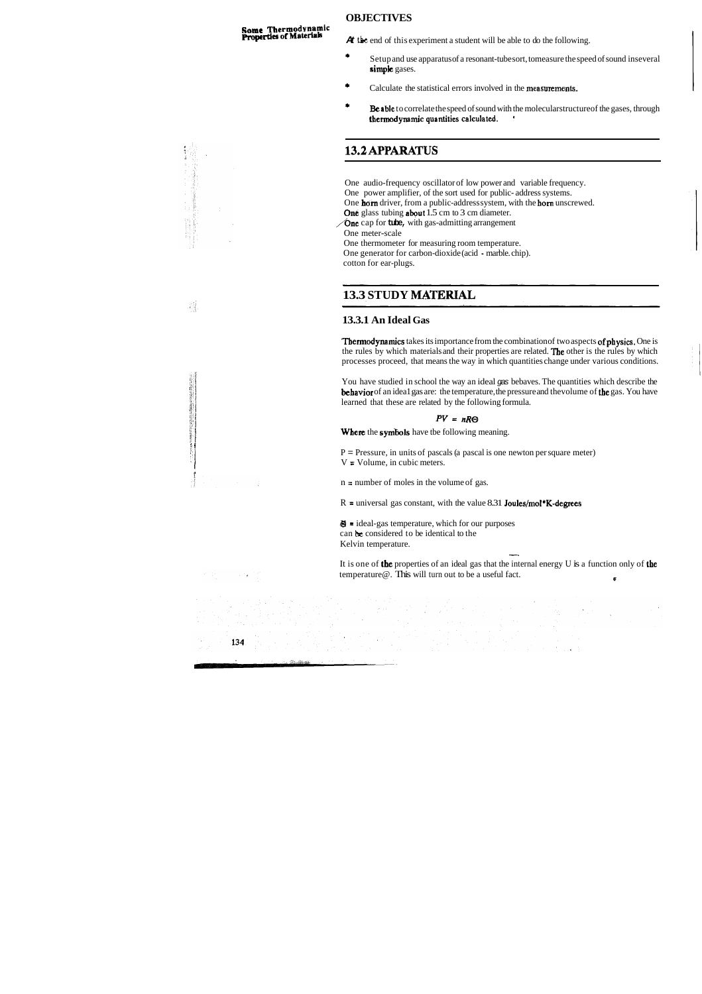### **OBJECTIVES**

**Some Thermodynamic**<br>**Properties of Materials** 

**At the end of this experiment a student will be able to do the following.** 

- + Setup and use apparatus of a resonant-tube sort, tomeasure the speed of sound inseveral simple gases.
- \* Calculate the statistical errors involved in the measurements.
- Be able to correlate the speed of sound with the molecular structure of the gases, through **themdynamicquantitiescalculated.** '

# 13.2 APPARATUS

Thermodynamics takes its importance from the combination of two aspects of physics. One is the rules by which materials and their properties are related. The other is the rules by which processes proceed, that means the way in which quantities change under various conditions.

- One audio-frequency oscillator of low power and variable frequency.
- One power amplifier, of the sort used for public- address systems.
- One horn driver, from a public-address system, with the horn unscrewed.
- One glass tubing about 1.5 cm to 3 cm diameter.
- //One cap for **tube,** with gas-admitting arrangement
- One meter-scale
- One thermometer for measuring room temperature.
- One generator for carbon-dioxide (acid marble. chip).

 $P =$  Pressure, in units of pascals (a pascal is one newton per square meter) **t** V = Volume, in cubic meters.

**II** = ideal-gas temperature, which for our purposes can **be** considered to be identical to the Kelvin temperature. -<br>-<br>-

It is one of the properties of an ideal gas that the internal energy U is a function only of the temperature  $\textcircled{e}$ . This will turn out to be a useful fact.

134

cotton for ear-plugs.

# 13.3 STUDY MATERIAL

#### **13.3.1 An Ideal Gas**

You have studied in school the way an ideal gas bebaves. The quantities which describe the behavior of an idea1 gas are: the temperature, the pressure and the volume of the gas. You have learned that these are related by the following formula.

#### $PV = nR\Theta$

Where the symbols have tbe following meaning.



n = number of moles in the volume of gas.

 $R =$  universal gas constant, with the value 8.31 **Joules/mol\*K-degrees**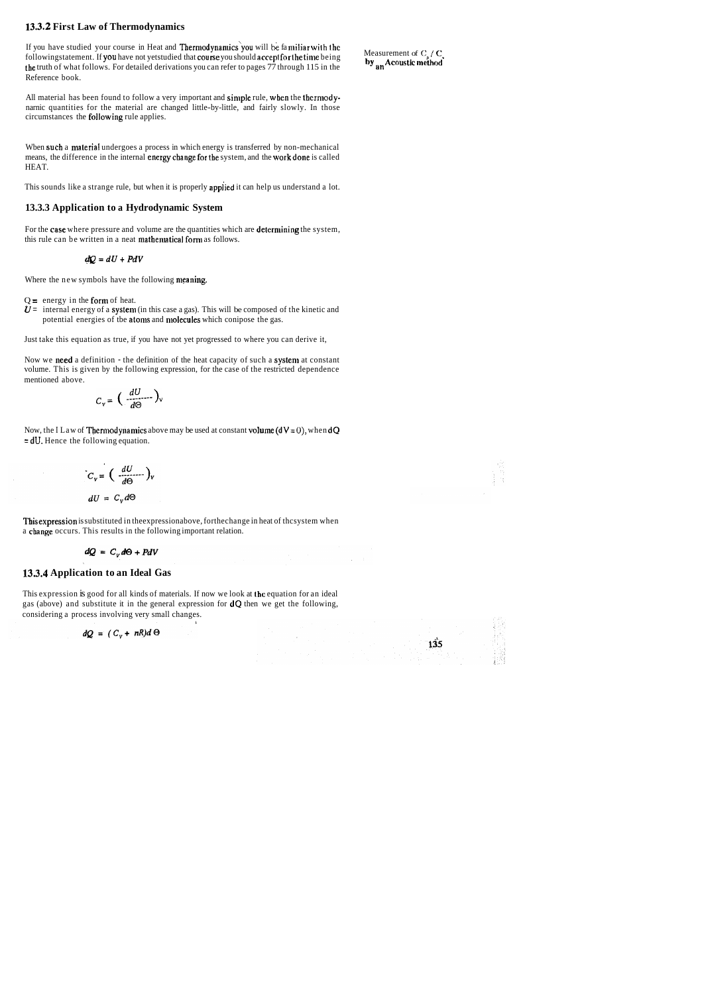#### **13.3.2 First Law of Thermodynamics**

If you have studied your course in Heat and **Thermodynamics** you will be familiar with the<br>followingstatement. If you have not yetstudied that course you should accept for the time being<br>the truth of what follows. For det Reference book.

All material has been found to follow a very important and simple rule, when the thermodynarnic quantities for the material are changed little-by-little, and fairly slowly. In those circumstances the **following** rule applies.

Wben such a material undergoes a process in which energy is transferred by non-mechanical means, the difference in the internal energychange fortbe system, and the workdone is called HEAT.

For the case where pressure and volume are the quantities which are determining the system, this rule can be written in a neat mathematical form as follows.

This sounds like a strange rule, but when it is properly applied it can help us understand a lot.

Now, the I Law of **Thermodynamics** above may be used at constant volume ( $dV = 0$ ), when  $dQ$ = dU. Hence the following equation.

$$
C_v = \left(\frac{dU}{d\Theta}\right)_v
$$

$$
dU = C_v d\Theta
$$

#### **13.3.3 Application to a Hydrodynamic System**

This expression is substituted in the expressionabove, for the change in heat of thcsystem when a cbange occurs. This results in the following important relation.

$$
dQ = C_v d\Theta + PdV
$$

$$
dQ=dU+PdV
$$

Where the new symbols have the following meaning.

 $Q =$  energy in the form of heat.

 $\hat{U}$  = internal energy of a system (in this case a gas). This will be composed of the kinetic and potential energies of tbe atoms and molecules which conipose the gas.

Just take this equation as true, if you have not yet progressed to where you can derive it,

Now we need a definition - the definition of the heat capacity of such a system at constant volume. This is given by the following expression, for the case of the restricted dependence mentioned above.

$$
C_{v} = \left(\frac{dU}{d\Theta}\right)_{v}
$$

#### **13.3.4 Application to an Ideal Gas**

This expression is good for all kinds of materials. If now we look at the equation for an ideal gas (above) and substitute it in the general expression for dQ then we get the following, considering a process involving very small changes.

$$
dQ = (C_v + nR)d\Theta
$$

 $135$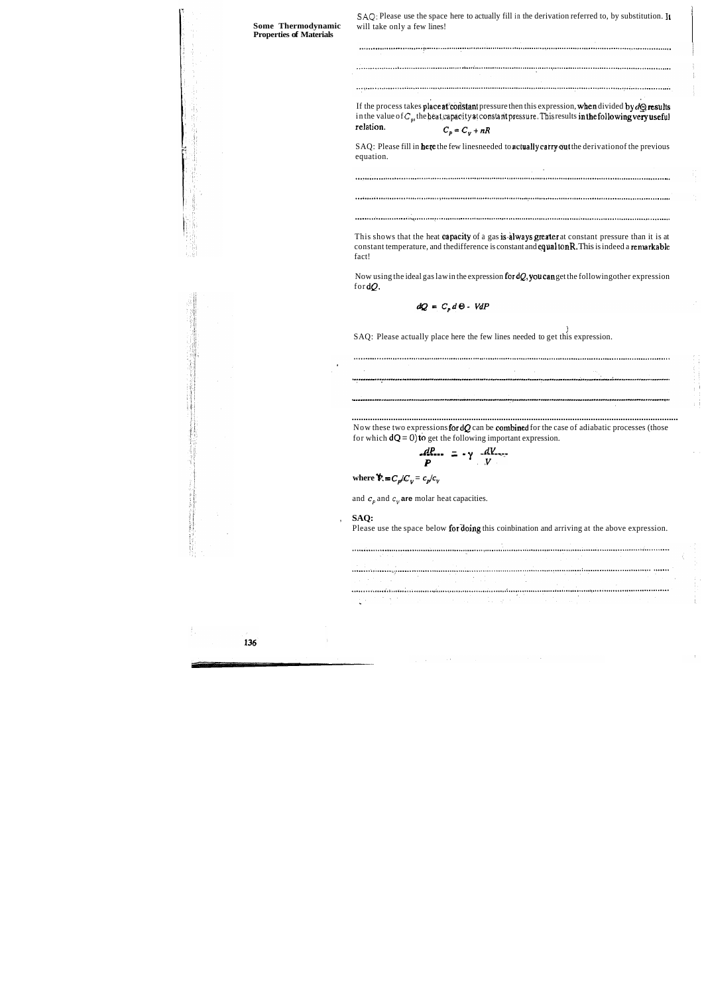| Some Thermodynamic<br><b>Properties of Materials</b> | will take only a few lines!                                                                                                                                                                                                                                  |
|------------------------------------------------------|--------------------------------------------------------------------------------------------------------------------------------------------------------------------------------------------------------------------------------------------------------------|
|                                                      |                                                                                                                                                                                                                                                              |
|                                                      |                                                                                                                                                                                                                                                              |
|                                                      |                                                                                                                                                                                                                                                              |
|                                                      | If the process takes place at constant pressure then this expression, when divided by $d\Theta$ results<br>in the value of $C_{\omega}$ , the heat capacity at constant pressure. This results in the following very useful<br>relation.<br>$C_p = C_v + nR$ |
|                                                      | SAQ: Please fill in here the few linesneeded to actually carry out the derivation of the previous<br>equation.                                                                                                                                               |
|                                                      |                                                                                                                                                                                                                                                              |
|                                                      |                                                                                                                                                                                                                                                              |
|                                                      |                                                                                                                                                                                                                                                              |
|                                                      | This shows that the heat capacity of a gas is always greater at constant pressure than it is at<br>constant temperature, and the difference is constant and equal to nR. This is indeed a remarkable<br>fact!                                                |
|                                                      | Now using the ideal gas law in the expression for $dQ$ , you can get the following other expression<br>for $dQ$ .                                                                                                                                            |
|                                                      | $dQ = C_p d\Theta - VdP$                                                                                                                                                                                                                                     |
|                                                      | SAQ: Please actually place here the few lines needed to get this expression.                                                                                                                                                                                 |
|                                                      |                                                                                                                                                                                                                                                              |
|                                                      |                                                                                                                                                                                                                                                              |
|                                                      |                                                                                                                                                                                                                                                              |
|                                                      |                                                                                                                                                                                                                                                              |
|                                                      | Now these two expressions for $dQ$ can be combined for the case of adiabatic processes (those<br>for which $dQ = 0$ ) to get the following important expression.                                                                                             |
|                                                      | $\frac{dP}{P} = -\gamma \frac{dV}{V}$                                                                                                                                                                                                                        |
|                                                      | where $\mathbf{\hat{V}} = C_p / C_v = c_p / c_v$                                                                                                                                                                                                             |
|                                                      | and $c_p$ and $c_v$ are molar heat capacities.                                                                                                                                                                                                               |
|                                                      | SAQ:                                                                                                                                                                                                                                                         |
|                                                      | Please use the space below for doing this coinbination and arriving at the above expression.                                                                                                                                                                 |
|                                                      |                                                                                                                                                                                                                                                              |
|                                                      |                                                                                                                                                                                                                                                              |
|                                                      |                                                                                                                                                                                                                                                              |
|                                                      |                                                                                                                                                                                                                                                              |

 $\frac{1}{\sqrt{2}}$ 

 $\frac{1}{2}$ 

r<br>Fi

**【注意】** 

 $\begin{bmatrix} \frac{1}{2} & \frac{1}{2} \\ \frac{1}{2} & \frac{1}{2} \end{bmatrix}$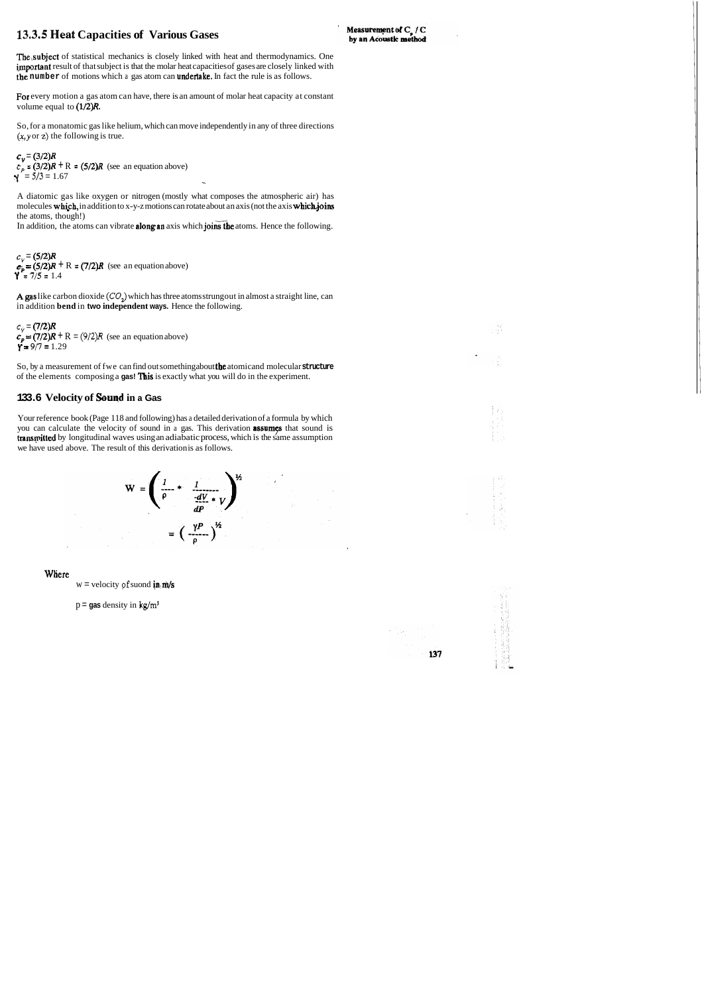## **13.3.5 Heat Capacities of Various Gases**

For every motion a gas atom can have, there is an amount of molar heat capacity at constant volume equal to  $(1/2)R$ .

The,subject of statistical mechanics is closely linked with heat and thermodynamics. One important result of that subject is that the molar heat capacities of gases are closely linked with the **number** of motions which a gas atom can undeftake. In fact the rule is as follows.

So, for a monatomic gas like helium, which can move independently in any of three directions **(x,y** or **z)** the following is true.

 $c_v = (3/2)R$  $c_p = (3/2)R + R = (5/2)R$  (see an equation above)  $Y = \frac{5}{3} = 1.67$ 

 $c_v = (5/2)R$  $\mathbf{\varepsilon}_{\mathbf{p}} = (5/2)\mathbf{R} + \mathbf{R} = (7/2)\mathbf{R}$  (see an equation above) **<sup>Y</sup>**= **7/5** = 1.4

A gas like carbon dioxide  $(\mathcal{CO}_2)$  which has three atoms strung out in almost a straight line, can in addition **bend** in **two independent ways.** Hence the following.

 $c_v = (7/2)R$  $c_p = (7/2)R + R = (9/2)R$  (see an equation above)<br>**r** = 9/7 = 1.29

So, by a measurement of fwe can find out something about the atomicand molecular **structure**  of the elements composing a **gas! This** is exactly what you will do in the experiment.

A diatomic gas like oxygen or nitrogen (mostly what composes the atmospheric air) has molecules which, in addition to x-y-z motions can rotate about an axis (not the axis which joins the atoms, though!)

In addition, the atoms can vibrate **along an** axis which **joins the** atoms. Hence the following.

#### **133.6 Velocity of Souqd in a Gas**

Your reference book (Page 118 and following) has a detailed derivation of a formula by which you can calculate the velocity of sound in a gas. This derivation **assumes** that sound is **transmitted** by longitudinal waves using an adiabatic process, which is the same assumption we have used above. The result of this derivation is as follows.

$$
W = \left(\frac{1}{\rho} + \frac{1}{\frac{dV}{dP} * V}\right)^{\frac{1}{2}}
$$

$$
= \left(\frac{\gamma P}{\rho}\right)^{\frac{1}{2}}
$$

Where

 $w =$  velocity of suond in  $m/s$ 

p = **gas** density in **kg/m3** 



įν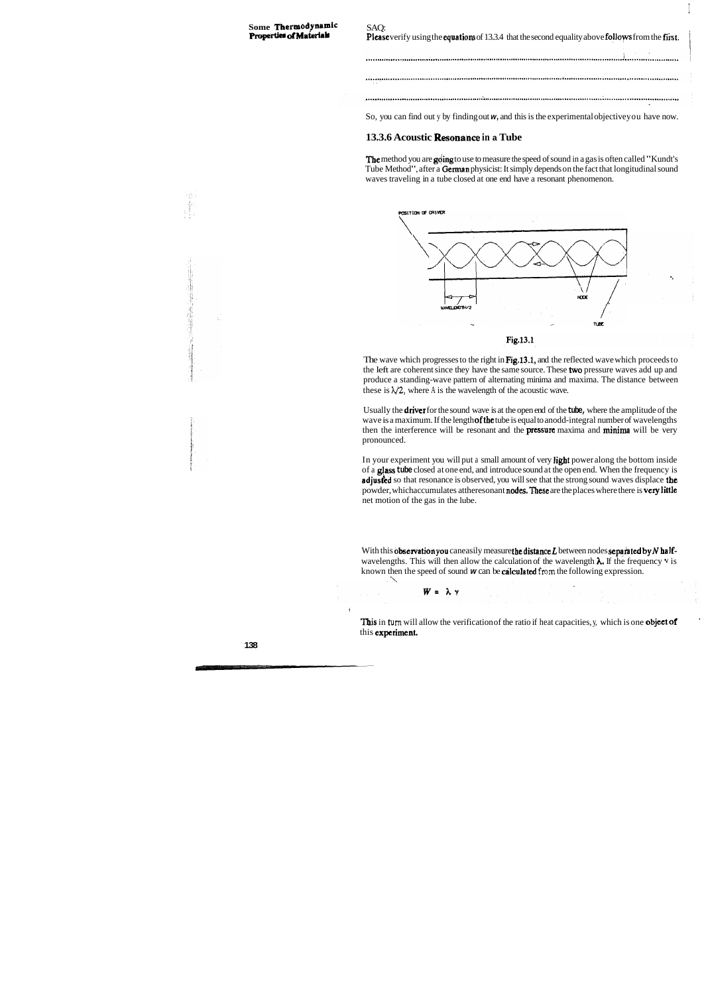#### Some **Thermodynamic Properties of Materials**

SAQ: Please verify using the equations of 13.3.4 that the second equality above follows from the first. 

I

I

So, you can find out y by finding out **w,** and this is the experimental objective you have now.

#### **13.3.6 Acoustic Resonahce in a Tube**

The method you are going to use to measure the speed of sound in a gas is often called "Kundt's Tube Method", after a German physicist: It simply depends on the fact that longitudinal sound waves traveling in a tube closed at one end have a resonant phenomenon.



The wave which progresses to the right in Fig.13.1, and the reflected wave which proceeds to the left are coherent since they have the same source. These two pressure waves add up and produce a standing-wave pattern of alternating minima and maxima. The distance between these is  $\lambda/2$ , where A is the wavelength of the acoustic wave.

In your experiment you will put a small amount of very light power along the bottom inside of a **glass tube** closed at one end, and introduce sound at the open end. When the frequency is **adjusted** so that resonance is observed, you will see that the strong sound waves displace the powder, whichaccumulates attheresonant nodes. These are the places where there is very little net motion of the gas in the lube.

With this observation you can easily measure the distance L between nodes separated by N halfwavelengths. This will then allow the calculation of the wavelength **A,** If the frequency **v** is known then the speed of sound **w** can be **calculated** from the following expression.

 $W = \lambda \gamma$ 

This in turn will allow the verification of the ratio if heat capacities, y, which is one **object of** this experiment.

Usually the drive1 for the sound wave is at the open end of the **tube,** where the amplitude of the wave is a maximum. If the length **of the** tube is equal to anodd-integral number of wavelengths then the interference will be resonant and the **pressure** maxima and **minima** will be very pronounced.

i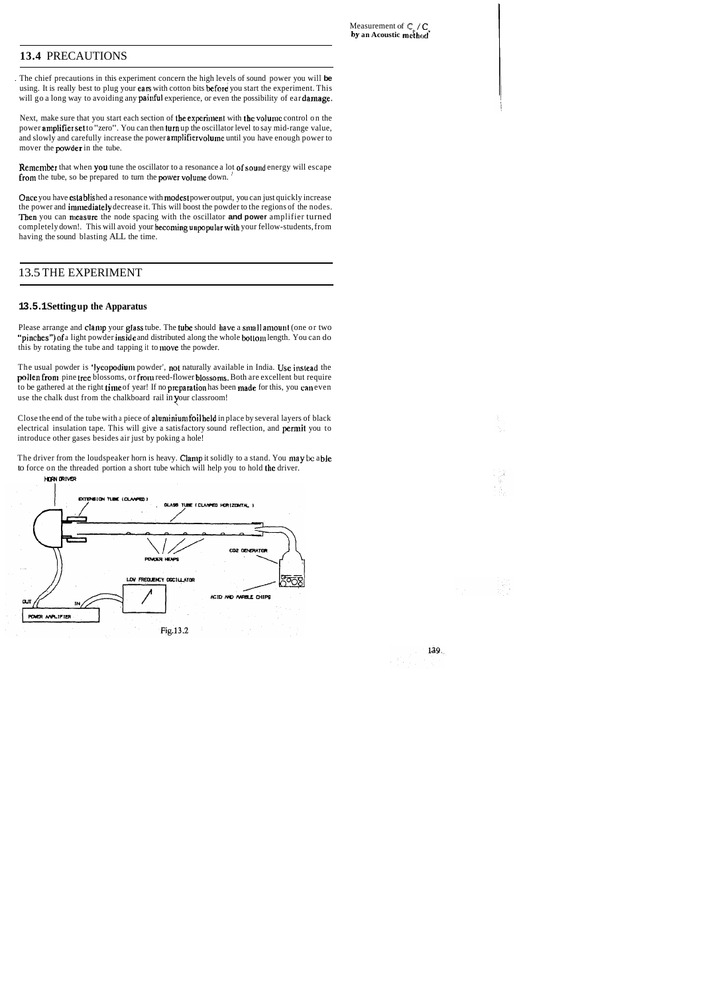. The chief precautions in this experiment concern the high levels of sound power you will **be**  using. It is really best to plug your cars with cotton bits before you start the experiment. This will go a long way to avoiding any painful experience, or even the possibility of ear damage.

## **13.4** PRECAUTIONS

Next, make sure that you start each section of the experiment with the volume control on the power amplifier set to "zero". You can then turn up the oscillator level to say mid-range value, and slowly and carefully increase the power amplifier volume until you have enough power to mover the powder in the tube.

Remember that when you tune the oscillator to a resonance a lot of sound energy will escape from the tube, so be prepared to turn the power volume down.

Once you have cstablished a resonance with modest power output, you can just quickly increase the power and immediately decrease it. This will boost the powder to the regions of the nodes. Then you can measure the node spacing with the oscillator and power amplifier turned completely down!. This will avoid your becoming unpopular with your fellow-students, from having the sound blasting ALL the time.

Close the end of the tube with a piece of aluminium foil held in place by several layers of black electrical insulation tape. This will give a satisfactory sound reflection, and **permit** you to introduce other gases besides air just by poking a hole!

The driver from the loudspeaker horn is heavy. Clamp it solidly to a stand. You may be able to force on the threaded portion a short tube which will help you to hold the driver.

#### 13.5 THE EXPERIMENT

#### **13.5.1 Setting up the Apparatus**

Please arrange and clamp your glass tube. The tube should have a small amount (one or two "pinches") of a light powder inside and distributed along the whole bottom length. You can do this by rotating the tube and tapping it to move the powder.

The usual powder is 'lycopodium powder', not naturally available in India. Use instead the pollen from pine tree blossoms, or from reed-flower blossoms. Both are excellent but require to be gathered at the right time of year! If no preparation has been made for this, you can even use the chalk dust from the chalkboard rail in your classroom!



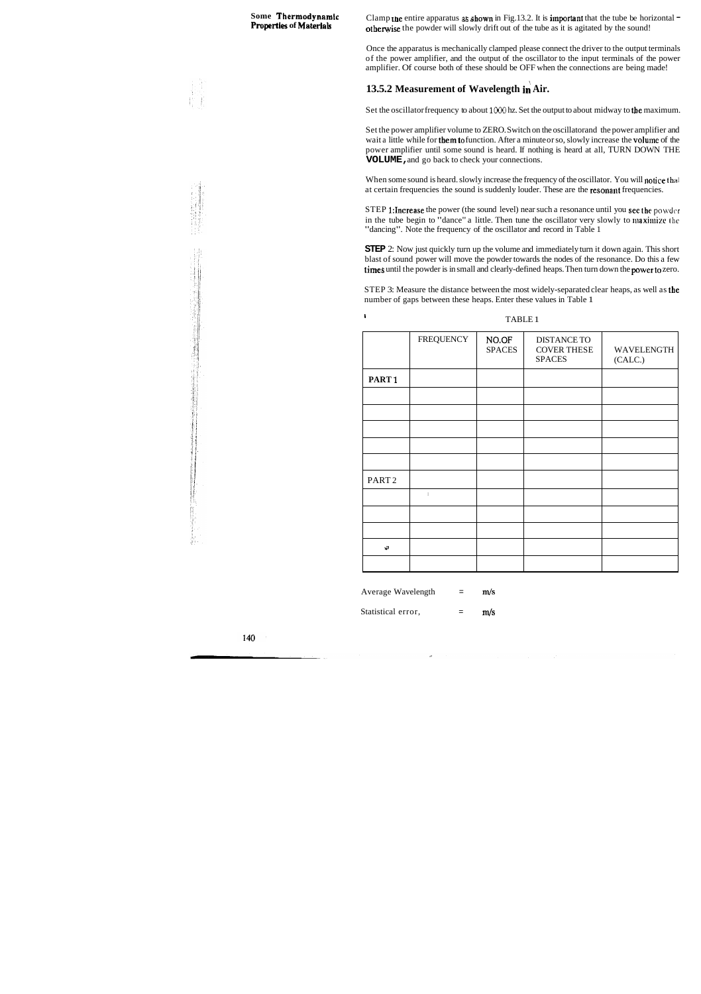# **Some** Thermodynamic

Clamp une entire apparatus as *shown* in Fig.13.2. It is important that the tube be horizontal othewise the powder will slowly drift out of the tube as it is agitated by the sound!

Once the apparatus is mechanically clamped please connect the driver to the output terminals of the power amplifier, and the output of the oscillator to the input terminals of the power amplifier. Of course both of these should be OFF when the connections are being made!

## **13.5.2 Measurement of Wavelength in Air.**

Set the oscillator frequency to about **1OOO** hz. Set the output to about midway to the maximum.

STEP 1: Increase the power (the sound level) near such a resonance until you see the powder in the tube begin to "dance" a little. Then tune the oscillator very slowly to maximize the "dancing". Note the frequency of the oscillator and record in Table 1

Set the power amplifier volume to ZERO. Switch on the oscillatorand the power amplifier and wait a little while for **them to** function. After a minute or so, slowly increase the **volume** of the power amplifier until some sound is heard. If nothing is heard at all, TURN DOWN THE **VOLUME,** and go back to check your connections.

When some sound is heard. slowly increase the frequency of the oscillator. You will notice that at certain frequencies the sound is suddenly louder. These are the resonant frequencies.

**STEP** 2: Now just quickly turn up the volume and immediately turn it down again. This short blast of sound power will move the powder towards the nodes of the resonance. Do this a few times until the powder is in small and clearly-defined heaps. Then turn down the powerto zero.

|                   | <b>FREQUENCY</b>                      | NO.OF<br><b>SPACES</b> | <b>DISTANCE TO</b><br><b>COVER THESE</b><br><b>SPACES</b> | WAVELENGTH<br>(CALC.) |
|-------------------|---------------------------------------|------------------------|-----------------------------------------------------------|-----------------------|
| PART <sub>1</sub> |                                       |                        |                                                           |                       |
|                   |                                       |                        |                                                           |                       |
|                   |                                       |                        |                                                           |                       |
|                   |                                       |                        |                                                           |                       |
|                   |                                       |                        |                                                           |                       |
|                   |                                       |                        |                                                           |                       |
| PART <sub>2</sub> |                                       |                        |                                                           |                       |
|                   | $\begin{array}{c} \hline \end{array}$ |                        |                                                           |                       |
|                   |                                       |                        |                                                           |                       |
|                   |                                       |                        |                                                           |                       |
| $\mathbf{s}^3$    |                                       |                        |                                                           |                       |
|                   |                                       |                        |                                                           |                       |

In the state of the state of the TABLE 1

Average Wavelength  $=$  m/s

Statistical error,  $=$  m/s

140

STEP 3: Measure the distance between the most widely-separated clear heaps, as well as the number of gaps between these heaps. Enter these values in Table 1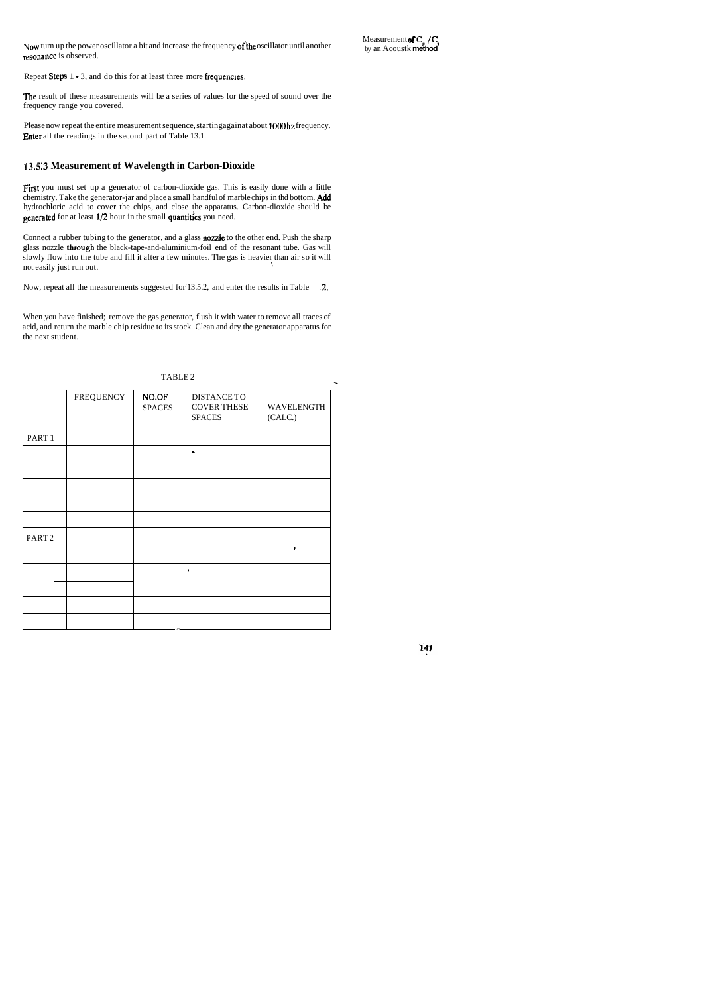The result of these measurements will be a series of values for the speed of sound over the frequency range you covered.

Please now repeat the entire measurement sequence, startingagainat about 1000 **hz** frequency. Enter all the readings in the second part of Table 13.1.

#### **13.513 Measurement of Wavelength in Carbon-Dioxide**

First you must set up a generator of carbon-dioxide gas. This is easily done with a little chemistry. Take the generator-jar and place a small handful of marble chips in thd bottom. Add hydrochloric acid to cover the chips, and close the apparatus. Carbon-dioxide should be generated for at least 1/2 hour in the small quantities you need.

Connect a rubber tubing to the generator, and a glass **nozzle** to the other end. Push the sharp glass nozzle through the black-tape-and-aluminium-foil end of the resonant tube. Gas will slowly flow into the tube and fill it after a few minutes. The gas is heavier than air so it will not easily just run out. \

Now, repeat all the measurements suggested for 13.5.2, and enter the results in Table .2.

Now turn up the power oscillator a bit and increase the frequency of the oscillator until another resonance is observed.

Measurement of C<sub>1</sub> / **C**<sub>1</sub> by an Acoustk **method** 

Repeat Steps  $1 \cdot 3$ , and do this for at least three more frequencies.

When you have finished; remove the gas generator, flush it with water to remove all traces of acid, and return the marble chip residue to its stock. Clean and dry the generator apparatus for the next student.

| TABLE <sub>2</sub> |                  |                        |                                                           |                       |  |  |  |
|--------------------|------------------|------------------------|-----------------------------------------------------------|-----------------------|--|--|--|
|                    | <b>FREQUENCY</b> | NO.OF<br><b>SPACES</b> | <b>DISTANCE TO</b><br><b>COVER THESE</b><br><b>SPACES</b> | WAVELENGTH<br>(CALC.) |  |  |  |
| PART <sub>1</sub>  |                  |                        |                                                           |                       |  |  |  |
|                    |                  |                        | $\overline{\phantom{a}}$                                  |                       |  |  |  |
|                    |                  |                        |                                                           |                       |  |  |  |
|                    |                  |                        |                                                           |                       |  |  |  |
|                    |                  |                        |                                                           |                       |  |  |  |
|                    |                  |                        |                                                           |                       |  |  |  |
| PART <sub>2</sub>  |                  |                        |                                                           | T                     |  |  |  |
|                    |                  |                        |                                                           |                       |  |  |  |
|                    |                  |                        | J                                                         |                       |  |  |  |
|                    |                  |                        |                                                           |                       |  |  |  |
|                    |                  |                        |                                                           |                       |  |  |  |
|                    |                  |                        |                                                           |                       |  |  |  |